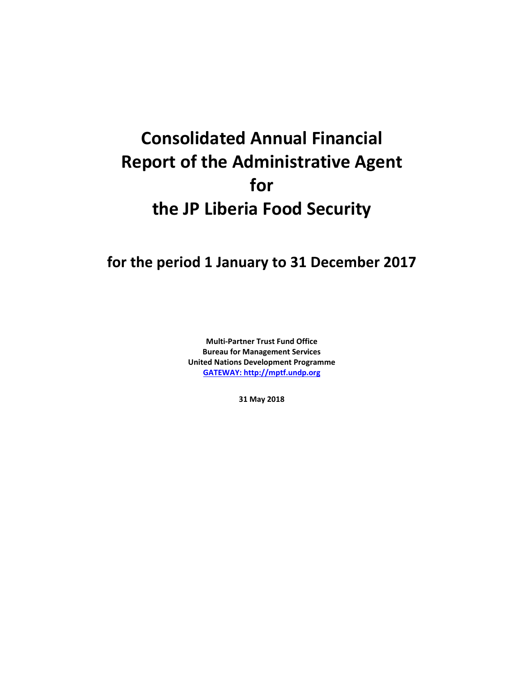# **Consolidated Annual Financial Report of the Administrative Agent for the JP Liberia Food Security**

## **for the period 1 January to 31 December 2017**

**Multi-Partner Trust Fund Office Bureau for Management Services United Nations Development Programme [GATEWAY: http://mptf.undp.org](http://mptf.undp.org/)**

**31 May 2018**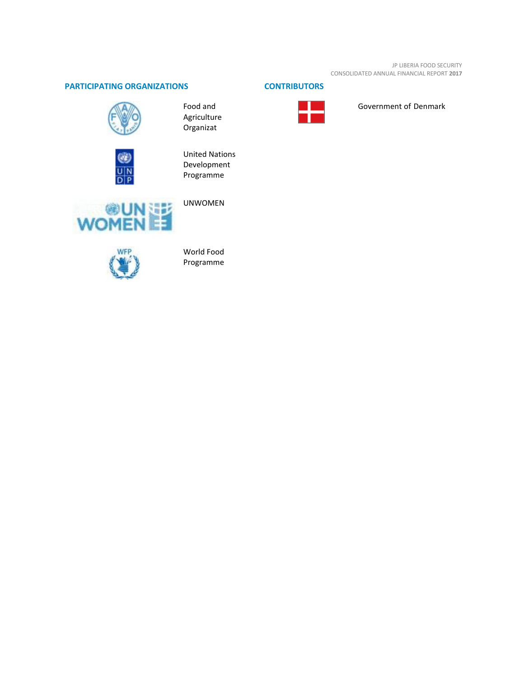JP LIBERIA FOOD SECURITY CONSOLIDATED ANNUAL FINANCIAL REPORT **2017**

### **PARTICIPATING ORGANIZATIONS CONTRIBUTORS**



Food and Agriculture Organizat



United Nations Development Programme



UNWOMEN



World Food Programme



Government of Denmark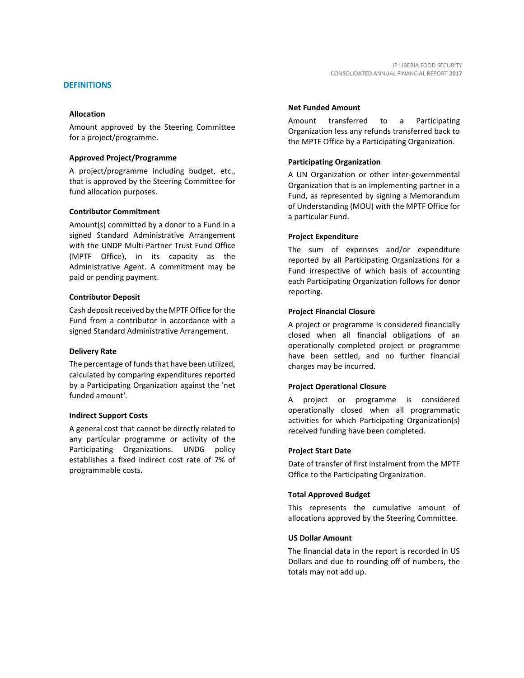Amount approved by the Steering Committee for a project/programme.

#### **Approved Project/Programme**

A project/programme including budget, etc., that is approved by the Steering Committee for fund allocation purposes.

#### **Contributor Commitment**

Amount(s) committed by a donor to a Fund in a signed Standard Administrative Arrangement with the UNDP Multi-Partner Trust Fund Office (MPTF Office), in its capacity as the Administrative Agent. A commitment may be paid or pending payment.

#### **Contributor Deposit**

Cash deposit received by the MPTF Office for the Fund from a contributor in accordance with a signed Standard Administrative Arrangement.

#### **Delivery Rate**

The percentage of funds that have been utilized, calculated by comparing expenditures reported by a Participating Organization against the 'net funded amount'.

#### **Indirect Support Costs**

A general cost that cannot be directly related to any particular programme or activity of the Participating Organizations. UNDG policy establishes a fixed indirect cost rate of 7% of programmable costs.

#### **Net Funded Amount**

Amount transferred to a Participating Organization less any refunds transferred back to the MPTF Office by a Participating Organization.

#### **Participating Organization**

A UN Organization or other inter-governmental Organization that is an implementing partner in a Fund, as represented by signing a Memorandum of Understanding (MOU) with the MPTF Office for a particular Fund.

#### **Project Expenditure**

The sum of expenses and/or expenditure reported by all Participating Organizations for a Fund irrespective of which basis of accounting each Participating Organization follows for donor reporting.

#### **Project Financial Closure**

A project or programme is considered financially closed when all financial obligations of an operationally completed project or programme have been settled, and no further financial charges may be incurred.

#### **Project Operational Closure**

A project or programme is considered operationally closed when all programmatic activities for which Participating Organization(s) received funding have been completed.

#### **Project Start Date**

Date of transfer of first instalment from the MPTF Office to the Participating Organization.

#### **Total Approved Budget**

This represents the cumulative amount of allocations approved by the Steering Committee.

#### **US Dollar Amount**

The financial data in the report is recorded in US Dollars and due to rounding off of numbers, the totals may not add up.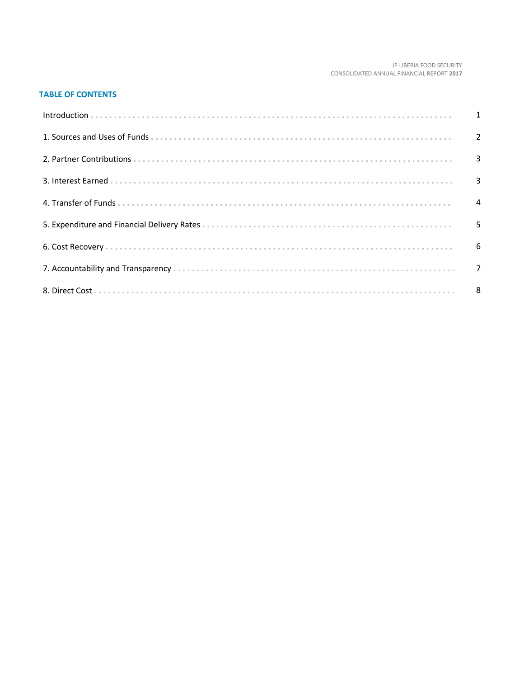#### JP LIBERIA FOOD SECURITY CONSOLIDATED ANNUAL FINANCIAL REPORT 2017

#### **TABLE OF CONTENTS**

| Introduction 1 1 |  |
|------------------|--|
|                  |  |
|                  |  |
|                  |  |
|                  |  |
|                  |  |
|                  |  |
|                  |  |
|                  |  |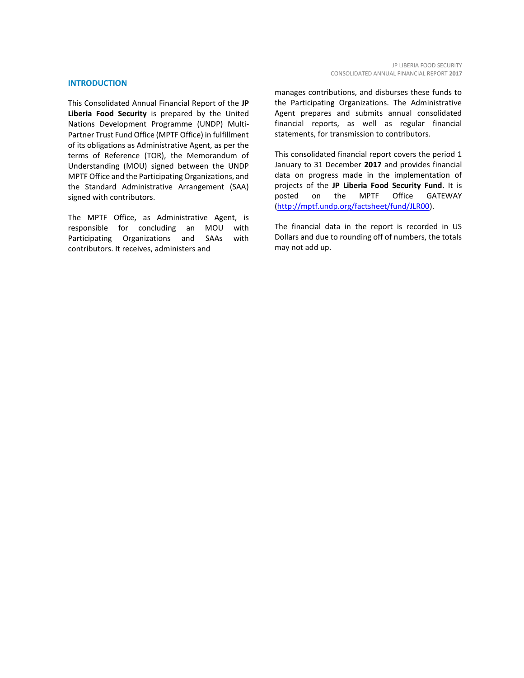#### **INTRODUCTION**

This Consolidated Annual Financial Report of the **JP Liberia Food Security** is prepared by the United Nations Development Programme (UNDP) Multi-Partner Trust Fund Office (MPTF Office) in fulfillment of its obligations as Administrative Agent, as per the terms of Reference (TOR), the Memorandum of Understanding (MOU) signed between the UNDP MPTF Office and the Participating Organizations, and the Standard Administrative Arrangement (SAA) signed with contributors.

The MPTF Office, as Administrative Agent, is responsible for concluding an MOU with Participating Organizations and SAAs with contributors. It receives, administers and

manages contributions, and disburses these funds to the Participating Organizations. The Administrative Agent prepares and submits annual consolidated financial reports, as well as regular financial statements, for transmission to contributors.

This consolidated financial report covers the period 1 January to 31 December **2017** and provides financial data on progress made in the implementation of projects of the **JP Liberia Food Security Fund**. It is posted on the MPTF Office GATEWAY [\(http://mptf.undp.org/factsheet/fund/JLR00\)](http://mptf.undp.org/factsheet/fund/JLR00).

The financial data in the report is recorded in US Dollars and due to rounding off of numbers, the totals may not add up.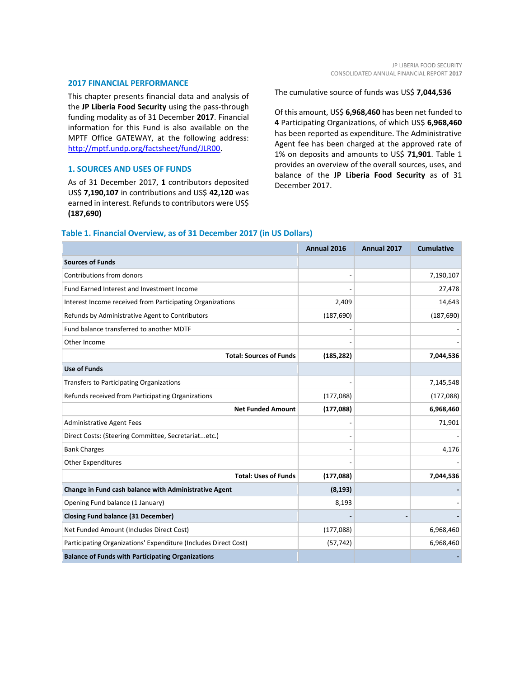#### **2017 FINANCIAL PERFORMANCE**

This chapter presents financial data and analysis of the **JP Liberia Food Security** using the pass-through funding modality as of 31 December **2017**. Financial information for this Fund is also available on the MPTF Office GATEWAY, at the following address: [http://mptf.undp.org/factsheet/fund/JLR00.](http://mptf.undp.org/factsheet/fund/JLR00)

#### **1. SOURCES AND USES OF FUNDS**

As of 31 December 2017, **1** contributors deposited US\$ **7,190,107** in contributions and US\$ **42,120** was earned in interest. Refunds to contributors were US\$ **(187,690)**

The cumulative source of funds was US\$ **7,044,536**

Of this amount, US\$ **6,968,460** has been net funded to **4** Participating Organizations, of which US\$ **6,968,460** has been reported as expenditure. The Administrative Agent fee has been charged at the approved rate of 1% on deposits and amounts to US\$ **71,901**. Table 1 provides an overview of the overall sources, uses, and balance of the **JP Liberia Food Security** as of 31 December 2017.

#### **Table 1. Financial Overview, as of 31 December 2017 (in US Dollars)**

|                                                                 | Annual 2016 | Annual 2017 | <b>Cumulative</b> |
|-----------------------------------------------------------------|-------------|-------------|-------------------|
| <b>Sources of Funds</b>                                         |             |             |                   |
| Contributions from donors                                       |             |             | 7,190,107         |
| Fund Earned Interest and Investment Income                      |             |             | 27,478            |
| Interest Income received from Participating Organizations       | 2,409       |             | 14,643            |
| Refunds by Administrative Agent to Contributors                 | (187, 690)  |             | (187, 690)        |
| Fund balance transferred to another MDTF                        |             |             |                   |
| Other Income                                                    |             |             |                   |
| <b>Total: Sources of Funds</b>                                  | (185, 282)  |             | 7,044,536         |
| <b>Use of Funds</b>                                             |             |             |                   |
| Transfers to Participating Organizations                        |             |             | 7,145,548         |
| Refunds received from Participating Organizations               | (177, 088)  |             | (177, 088)        |
| <b>Net Funded Amount</b>                                        | (177, 088)  |             | 6,968,460         |
| <b>Administrative Agent Fees</b>                                |             |             | 71,901            |
| Direct Costs: (Steering Committee, Secretariatetc.)             |             |             |                   |
| <b>Bank Charges</b>                                             |             |             | 4,176             |
| <b>Other Expenditures</b>                                       |             |             |                   |
| <b>Total: Uses of Funds</b>                                     | (177, 088)  |             | 7,044,536         |
| Change in Fund cash balance with Administrative Agent           | (8, 193)    |             |                   |
| Opening Fund balance (1 January)                                | 8,193       |             |                   |
| <b>Closing Fund balance (31 December)</b>                       |             |             |                   |
| Net Funded Amount (Includes Direct Cost)                        | (177,088)   |             | 6,968,460         |
| Participating Organizations' Expenditure (Includes Direct Cost) | (57, 742)   |             | 6,968,460         |
| <b>Balance of Funds with Participating Organizations</b>        |             |             |                   |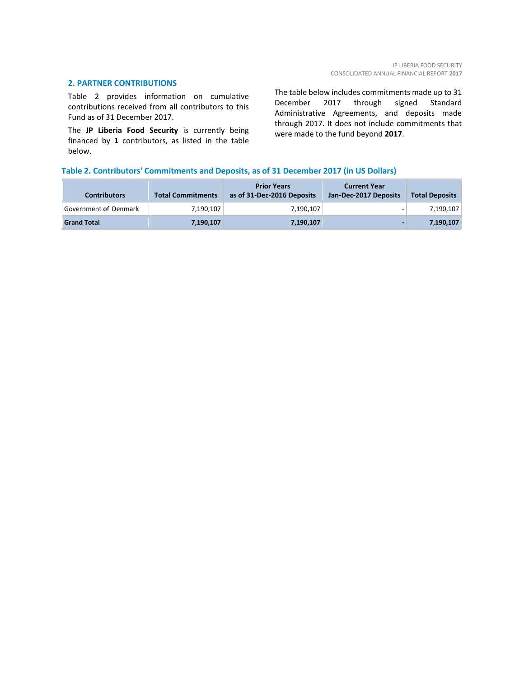#### **2. PARTNER CONTRIBUTIONS**

Table 2 provides information on cumulative contributions received from all contributors to this Fund as of 31 December 2017.

The **JP Liberia Food Security** is currently being financed by **1** contributors, as listed in the table below.

The table below includes commitments made up to 31 December 2017 through signed Standard Administrative Agreements, and deposits made through 2017. It does not include commitments that were made to the fund beyond **2017**.

#### **Table 2. Contributors' Commitments and Deposits, as of 31 December 2017 (in US Dollars)**

| <b>Contributors</b>   | <b>Total Commitments</b> | <b>Prior Years</b><br>as of 31-Dec-2016 Deposits | <b>Current Year</b><br>Jan-Dec-2017 Deposits | <b>Total Deposits</b> |
|-----------------------|--------------------------|--------------------------------------------------|----------------------------------------------|-----------------------|
| Government of Denmark | 7.190.107                | 7.190.107                                        |                                              | 7,190,107             |
| <b>Grand Total</b>    | 7,190,107                | 7,190,107                                        |                                              | 7,190,107             |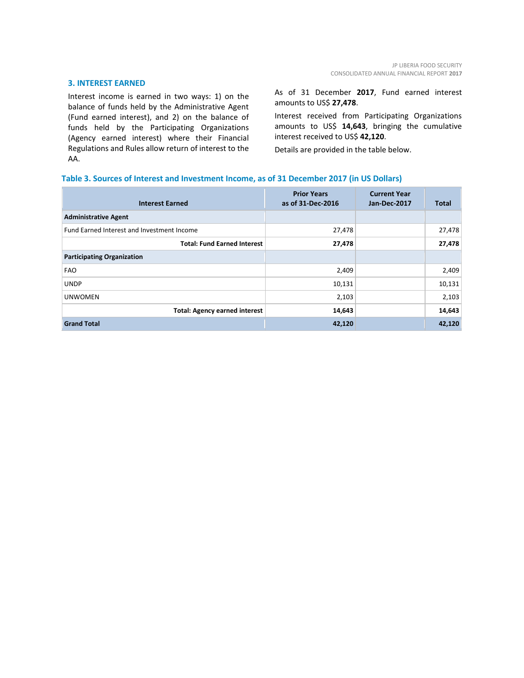#### **3. INTEREST EARNED**

Interest income is earned in two ways: 1) on the balance of funds held by the Administrative Agent (Fund earned interest), and 2) on the balance of funds held by the Participating Organizations (Agency earned interest) where their Financial Regulations and Rules allow return of interest to the AA.

As of 31 December **2017**, Fund earned interest amounts to US\$ **27,478**.

Interest received from Participating Organizations amounts to US\$ **14,643**, bringing the cumulative interest received to US\$ **42,120**.

Details are provided in the table below.

#### **Table 3. Sources of Interest and Investment Income, as of 31 December 2017 (in US Dollars)**

| <b>Interest Earned</b>                     | <b>Prior Years</b><br>as of 31-Dec-2016 | <b>Current Year</b><br>Jan-Dec-2017 | <b>Total</b> |
|--------------------------------------------|-----------------------------------------|-------------------------------------|--------------|
| <b>Administrative Agent</b>                |                                         |                                     |              |
| Fund Earned Interest and Investment Income | 27,478                                  |                                     | 27,478       |
| <b>Total: Fund Earned Interest</b>         | 27,478                                  |                                     | 27,478       |
| <b>Participating Organization</b>          |                                         |                                     |              |
| <b>FAO</b>                                 | 2,409                                   |                                     | 2,409        |
| <b>UNDP</b>                                | 10,131                                  |                                     | 10,131       |
| <b>UNWOMEN</b>                             | 2,103                                   |                                     | 2,103        |
| <b>Total: Agency earned interest</b>       | 14,643                                  |                                     | 14,643       |
| <b>Grand Total</b>                         | 42,120                                  |                                     | 42,120       |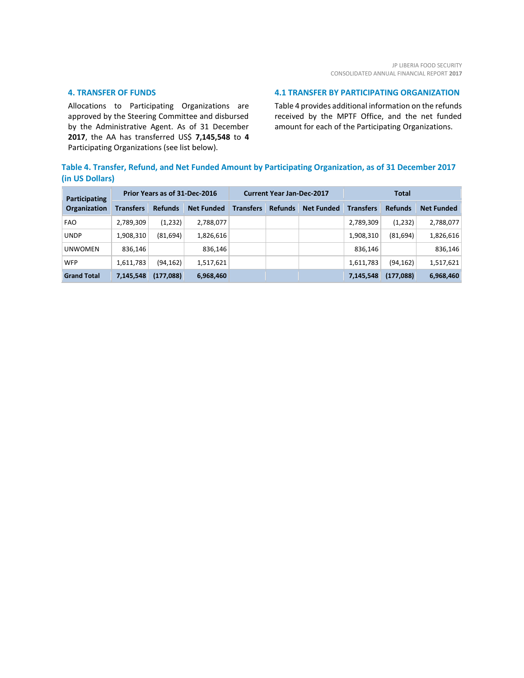#### **4. TRANSFER OF FUNDS**

Allocations to Participating Organizations are approved by the Steering Committee and disbursed by the Administrative Agent. As of 31 December **2017**, the AA has transferred US\$ **7,145,548** to **4** Participating Organizations (see list below).

#### **4.1 TRANSFER BY PARTICIPATING ORGANIZATION**

Table 4 provides additional information on the refunds received by the MPTF Office, and the net funded amount for each of the Participating Organizations.

#### **Table 4. Transfer, Refund, and Net Funded Amount by Participating Organization, as of 31 December 2017 (in US Dollars)**

| Participating<br><b>Organization</b> | Prior Years as of 31-Dec-2016 |                |                   | <b>Current Year Jan-Dec-2017</b> |                |                   | <b>Total</b>     |                |                   |
|--------------------------------------|-------------------------------|----------------|-------------------|----------------------------------|----------------|-------------------|------------------|----------------|-------------------|
|                                      | <b>Transfers</b>              | <b>Refunds</b> | <b>Net Funded</b> | <b>Transfers</b>                 | <b>Refunds</b> | <b>Net Funded</b> | <b>Transfers</b> | <b>Refunds</b> | <b>Net Funded</b> |
| <b>FAO</b>                           | 2,789,309                     | (1,232)        | 2,788,077         |                                  |                |                   | 2,789,309        | (1,232)        | 2,788,077         |
| <b>UNDP</b>                          | 1,908,310                     | (81, 694)      | 1,826,616         |                                  |                |                   | 1,908,310        | (81, 694)      | 1,826,616         |
| <b>UNWOMEN</b>                       | 836.146                       |                | 836,146           |                                  |                |                   | 836.146          |                | 836,146           |
| <b>WFP</b>                           | 1,611,783                     | (94, 162)      | 1,517,621         |                                  |                |                   | 1,611,783        | (94, 162)      | 1,517,621         |
| <b>Grand Total</b>                   | 7,145,548                     | (177,088)      | 6,968,460         |                                  |                |                   | 7,145,548        | (177,088)      | 6,968,460         |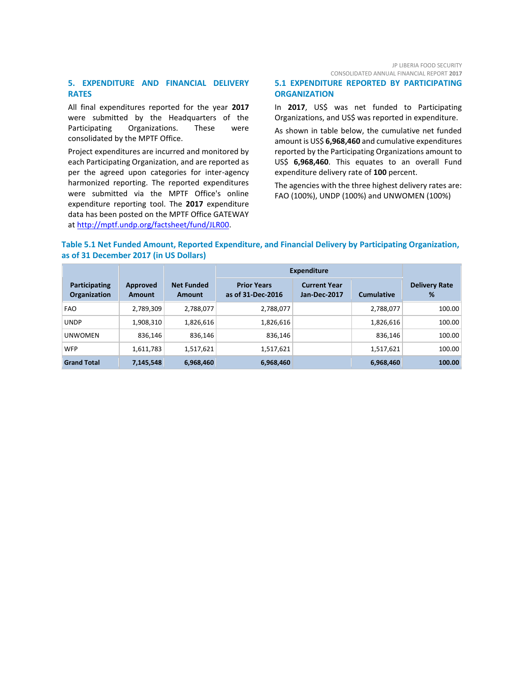#### **5. EXPENDITURE AND FINANCIAL DELIVERY RATES**

All final expenditures reported for the year **2017** were submitted by the Headquarters of the Participating Organizations. These were consolidated by the MPTF Office.

Project expenditures are incurred and monitored by each Participating Organization, and are reported as per the agreed upon categories for inter-agency harmonized reporting. The reported expenditures were submitted via the MPTF Office's online expenditure reporting tool. The **2017** expenditure data has been posted on the MPTF Office GATEWAY at [http://mptf.undp.org/factsheet/fund/JLR00.](http://mptf.undp.org/factsheet/fund/JLR00)

#### **5.1 EXPENDITURE REPORTED BY PARTICIPATING ORGANIZATION**

In **2017**, US\$ was net funded to Participating Organizations, and US\$ was reported in expenditure.

As shown in table below, the cumulative net funded amount is US\$ **6,968,460** and cumulative expenditures reported by the Participating Organizations amount to US\$ **6,968,460**. This equates to an overall Fund expenditure delivery rate of **100** percent.

The agencies with the three highest delivery rates are: FAO (100%), UNDP (100%) and UNWOMEN (100%)

#### **Table 5.1 Net Funded Amount, Reported Expenditure, and Financial Delivery by Participating Organization, as of 31 December 2017 (in US Dollars)**

|                               |                    |                             | <b>Expenditure</b>                      |                                     |                   |                           |
|-------------------------------|--------------------|-----------------------------|-----------------------------------------|-------------------------------------|-------------------|---------------------------|
| Participating<br>Organization | Approved<br>Amount | <b>Net Funded</b><br>Amount | <b>Prior Years</b><br>as of 31-Dec-2016 | <b>Current Year</b><br>Jan-Dec-2017 | <b>Cumulative</b> | <b>Delivery Rate</b><br>% |
| <b>FAO</b>                    | 2,789,309          | 2,788,077                   | 2,788,077                               |                                     | 2,788,077         | 100.00                    |
| <b>UNDP</b>                   | 1,908,310          | 1,826,616                   | 1,826,616                               |                                     | 1,826,616         | 100.00                    |
| <b>UNWOMEN</b>                | 836,146            | 836,146                     | 836,146                                 |                                     | 836,146           | 100.00                    |
| <b>WFP</b>                    | 1,611,783          | 1,517,621                   | 1,517,621                               |                                     | 1,517,621         | 100.00                    |
| <b>Grand Total</b>            | 7,145,548          | 6,968,460                   | 6,968,460                               |                                     | 6,968,460         | 100.00                    |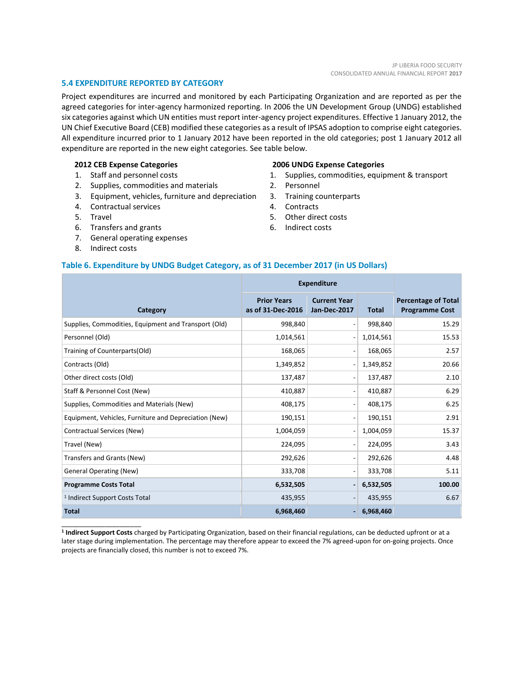#### **5.4 EXPENDITURE REPORTED BY CATEGORY**

Project expenditures are incurred and monitored by each Participating Organization and are reported as per the agreed categories for inter-agency harmonized reporting. In 2006 the UN Development Group (UNDG) established six categories against which UN entities must report inter-agency project expenditures. Effective 1 January 2012, the UN Chief Executive Board (CEB) modified these categories as a result of IPSAS adoption to comprise eight categories. All expenditure incurred prior to 1 January 2012 have been reported in the old categories; post 1 January 2012 all expenditure are reported in the new eight categories. See table below.

#### **2012 CEB Expense Categories**

- 1. Staff and personnel costs
- 2. Supplies, commodities and materials
- 3. Equipment, vehicles, furniture and depreciation
- 4. Contractual services
- 5. Travel
- 6. Transfers and grants
- 7. General operating expenses
- 8. Indirect costs

\_\_\_\_\_\_\_\_\_\_\_\_\_\_\_\_\_\_\_\_\_\_

#### **2006 UNDG Expense Categories**

- 1. Supplies, commodities, equipment & transport
- 2. Personnel
- 3. Training counterparts
- 4. Contracts
- 5. Other direct costs
- 6. Indirect costs

#### **Table 6. Expenditure by UNDG Budget Category, as of 31 December 2017 (in US Dollars)**

|                                                       | <b>Expenditure</b>                      |                                            |              |                                                     |
|-------------------------------------------------------|-----------------------------------------|--------------------------------------------|--------------|-----------------------------------------------------|
| Category                                              | <b>Prior Years</b><br>as of 31-Dec-2016 | <b>Current Year</b><br><b>Jan-Dec-2017</b> | <b>Total</b> | <b>Percentage of Total</b><br><b>Programme Cost</b> |
| Supplies, Commodities, Equipment and Transport (Old)  | 998,840                                 | $\overline{a}$                             | 998,840      | 15.29                                               |
| Personnel (Old)                                       | 1,014,561                               | $\overline{\phantom{a}}$                   | 1,014,561    | 15.53                                               |
| Training of Counterparts(Old)                         | 168,065                                 | $\qquad \qquad \blacksquare$               | 168,065      | 2.57                                                |
| Contracts (Old)                                       | 1,349,852                               | $\overline{\phantom{a}}$                   | 1,349,852    | 20.66                                               |
| Other direct costs (Old)                              | 137,487                                 | $\overline{a}$                             | 137,487      | 2.10                                                |
| Staff & Personnel Cost (New)                          | 410,887                                 | $\overline{a}$                             | 410,887      | 6.29                                                |
| Supplies, Commodities and Materials (New)             | 408,175                                 | $\qquad \qquad \blacksquare$               | 408,175      | 6.25                                                |
| Equipment, Vehicles, Furniture and Depreciation (New) | 190,151                                 | $\qquad \qquad \blacksquare$               | 190,151      | 2.91                                                |
| Contractual Services (New)                            | 1,004,059                               | $\overline{a}$                             | 1,004,059    | 15.37                                               |
| Travel (New)                                          | 224,095                                 | $\qquad \qquad \blacksquare$               | 224,095      | 3.43                                                |
| Transfers and Grants (New)                            | 292,626                                 | $\overline{a}$                             | 292,626      | 4.48                                                |
| <b>General Operating (New)</b>                        | 333,708                                 | $\overline{a}$                             | 333,708      | 5.11                                                |
| <b>Programme Costs Total</b>                          | 6,532,505                               | $\overline{\phantom{a}}$                   | 6,532,505    | 100.00                                              |
| <sup>1</sup> Indirect Support Costs Total             | 435,955                                 | $\overline{\phantom{a}}$                   | 435,955      | 6.67                                                |
| <b>Total</b>                                          | 6,968,460                               | $\overline{\phantom{0}}$                   | 6,968,460    |                                                     |

**1 Indirect Support Costs** charged by Participating Organization, based on their financial regulations, can be deducted upfront or at a later stage during implementation. The percentage may therefore appear to exceed the 7% agreed-upon for on-going projects. Once projects are financially closed, this number is not to exceed 7%.